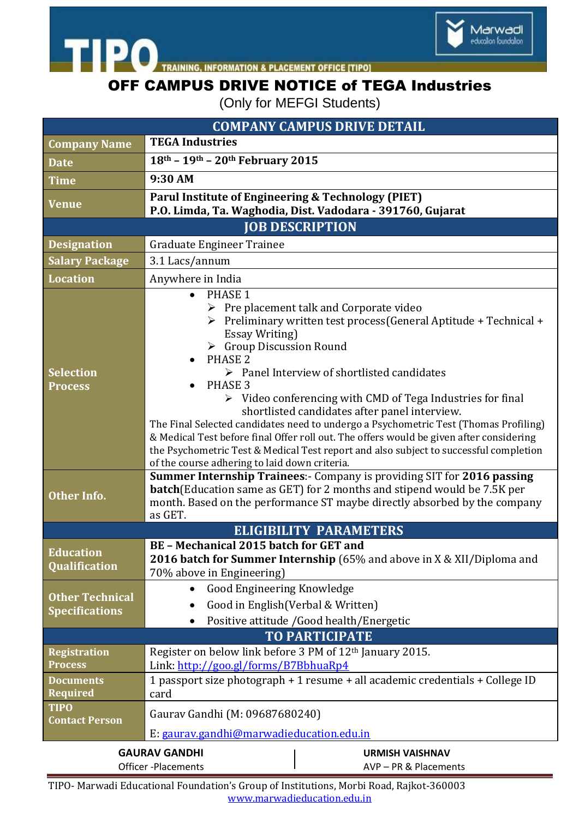



TRAINING, INFORMATION & PLACEMENT OFFICE [TIPO]

**TIPO** 

## OFF CAMPUS DRIVE NOTICE of TEGA Industries

(Only for MEFGI Students)

| <b>COMPANY CAMPUS DRIVE DETAIL</b>                                                             |                                                                                                                                                                                                                                                                                                                                                                                                                                                                                                                                                                                                                                                                                                                                                                        |
|------------------------------------------------------------------------------------------------|------------------------------------------------------------------------------------------------------------------------------------------------------------------------------------------------------------------------------------------------------------------------------------------------------------------------------------------------------------------------------------------------------------------------------------------------------------------------------------------------------------------------------------------------------------------------------------------------------------------------------------------------------------------------------------------------------------------------------------------------------------------------|
| <b>Company Name</b>                                                                            | <b>TEGA Industries</b>                                                                                                                                                                                                                                                                                                                                                                                                                                                                                                                                                                                                                                                                                                                                                 |
| <b>Date</b>                                                                                    | 18th - 19th - 20th February 2015                                                                                                                                                                                                                                                                                                                                                                                                                                                                                                                                                                                                                                                                                                                                       |
| <b>Time</b>                                                                                    | 9:30 AM                                                                                                                                                                                                                                                                                                                                                                                                                                                                                                                                                                                                                                                                                                                                                                |
| <b>Venue</b>                                                                                   | Parul Institute of Engineering & Technology (PIET)<br>P.O. Limda, Ta. Waghodia, Dist. Vadodara - 391760, Gujarat                                                                                                                                                                                                                                                                                                                                                                                                                                                                                                                                                                                                                                                       |
| <b>JOB DESCRIPTION</b>                                                                         |                                                                                                                                                                                                                                                                                                                                                                                                                                                                                                                                                                                                                                                                                                                                                                        |
| <b>Designation</b>                                                                             | <b>Graduate Engineer Trainee</b>                                                                                                                                                                                                                                                                                                                                                                                                                                                                                                                                                                                                                                                                                                                                       |
| <b>Salary Package</b>                                                                          | 3.1 Lacs/annum                                                                                                                                                                                                                                                                                                                                                                                                                                                                                                                                                                                                                                                                                                                                                         |
| <b>Location</b>                                                                                | Anywhere in India                                                                                                                                                                                                                                                                                                                                                                                                                                                                                                                                                                                                                                                                                                                                                      |
| <b>Selection</b><br><b>Process</b>                                                             | PHASE 1<br>$\triangleright$ Pre placement talk and Corporate video<br>Preliminary written test process (General Aptitude + Technical +<br>➤<br><b>Essay Writing</b> )<br>$\triangleright$ Group Discussion Round<br>PHASE <sub>2</sub><br>$\triangleright$ Panel Interview of shortlisted candidates<br>PHASE <sub>3</sub><br>> Video conferencing with CMD of Tega Industries for final<br>shortlisted candidates after panel interview.<br>The Final Selected candidates need to undergo a Psychometric Test (Thomas Profiling)<br>& Medical Test before final Offer roll out. The offers would be given after considering<br>the Psychometric Test & Medical Test report and also subject to successful completion<br>of the course adhering to laid down criteria. |
| <b>Other Info.</b>                                                                             | Summer Internship Trainees:- Company is providing SIT for 2016 passing<br><b>batch</b> (Education same as GET) for 2 months and stipend would be 7.5K per<br>month. Based on the performance ST maybe directly absorbed by the company<br>as GET.                                                                                                                                                                                                                                                                                                                                                                                                                                                                                                                      |
| <b>ELIGIBILITY PARAMETERS</b>                                                                  |                                                                                                                                                                                                                                                                                                                                                                                                                                                                                                                                                                                                                                                                                                                                                                        |
| <b>Education</b><br><b>Qualification</b>                                                       | <b>BE-Mechanical 2015 batch for GET and</b><br><b>2016 batch for Summer Internship</b> (65% and above in X & XII/Diploma and<br>70% above in Engineering)                                                                                                                                                                                                                                                                                                                                                                                                                                                                                                                                                                                                              |
| <b>Other Technical</b><br><b>Specifications</b>                                                | Good Engineering Knowledge<br>$\bullet$<br>Good in English (Verbal & Written)<br>Positive attitude /Good health/Energetic                                                                                                                                                                                                                                                                                                                                                                                                                                                                                                                                                                                                                                              |
| <b>TO PARTICIPATE</b>                                                                          |                                                                                                                                                                                                                                                                                                                                                                                                                                                                                                                                                                                                                                                                                                                                                                        |
| <b>Registration</b><br><b>Process</b>                                                          | Register on below link before 3 PM of 12 <sup>th</sup> January 2015.<br>Link: http://goo.gl/forms/B7BbhuaRp4                                                                                                                                                                                                                                                                                                                                                                                                                                                                                                                                                                                                                                                           |
| <b>Documents</b><br><b>Required</b>                                                            | 1 passport size photograph + 1 resume + all academic credentials + College ID<br>card                                                                                                                                                                                                                                                                                                                                                                                                                                                                                                                                                                                                                                                                                  |
| <b>TIPO</b><br><b>Contact Person</b>                                                           | Gaurav Gandhi (M: 09687680240)<br>E: gaurav.gandhi@marwadieducation.edu.in                                                                                                                                                                                                                                                                                                                                                                                                                                                                                                                                                                                                                                                                                             |
| <b>GAURAV GANDHI</b><br><b>URMISH VAISHNAV</b><br>Officer -Placements<br>AVP - PR & Placements |                                                                                                                                                                                                                                                                                                                                                                                                                                                                                                                                                                                                                                                                                                                                                                        |

TIPO- Marwadi Educational Foundation's Group of Institutions, Morbi Road, Rajkot-360003 www.marwadieducation.edu.in